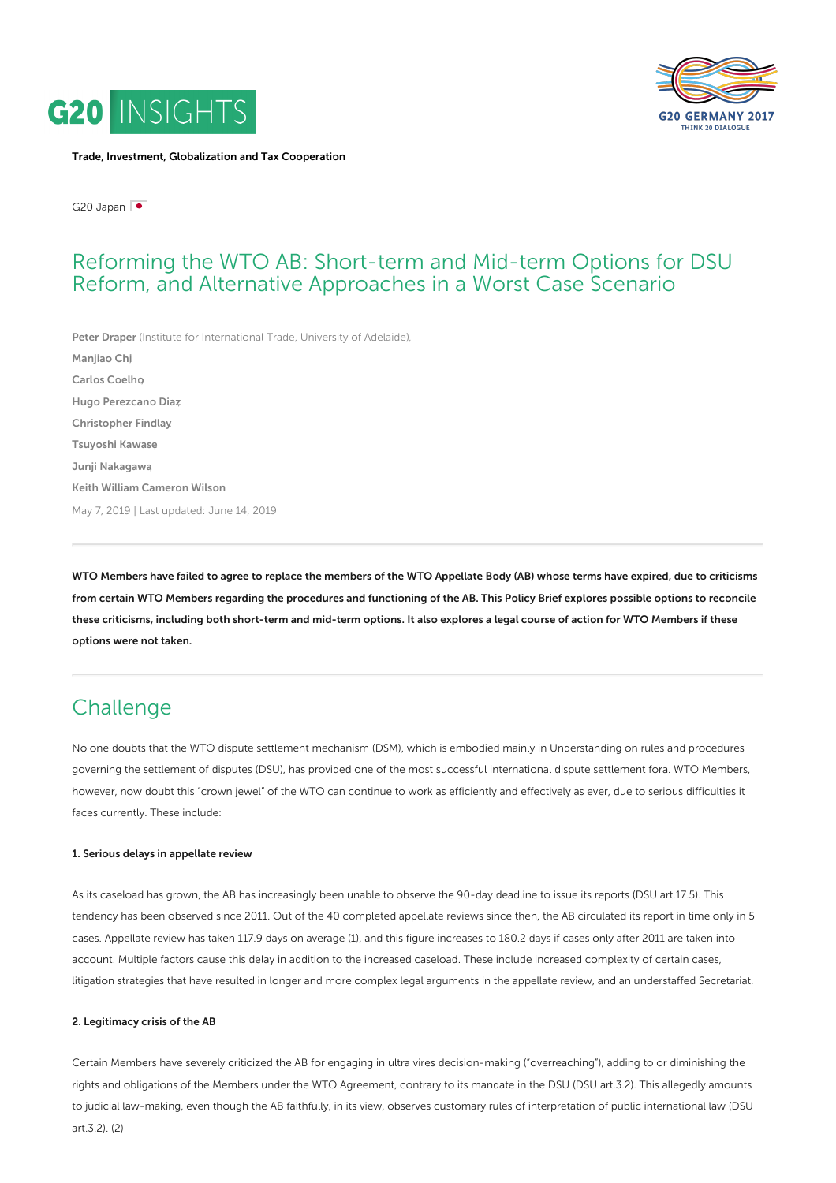



Trade, Investment, [Globalization](https://www.g20-insights.org/policy_area/trade-investment-globalization-and-tax-cooperation/) and Tax Cooperation

G20 Japan

## Reforming the WTO AB: Short-term and Mid-term Options for DSU Reform, and Alternative Approaches in a Worst Case Scenario

Peter [Draper](https://www.g20-insights.org/authors/peter-draper/) (Institute for [International](https://www.g20-insights.org/think_tanks/institute-for-international-trade-university-of-adelaide/) Trade, University of Adelaide), [Manjiao](https://www.g20-insights.org/authors/manjiao-chi/) Chi, Carlos [Coelho](https://www.g20-insights.org/authors/carlos-coelho/), Hugo [Perezcano](https://www.g20-insights.org/authors/hugo-perezcano-diaz/) Diaz, [Christopher](https://www.g20-insights.org/authors/christopher-findlay/) Findlay, [Tsuyoshi](https://www.g20-insights.org/authors/tsuyoshi-kawase/) Kawase, Junji [Nakagawa](https://www.g20-insights.org/authors/junji-nakagawa/), Keith William [Cameron](https://www.g20-insights.org/authors/keith-william-cameron-wilson/) Wilson May 7, 2019 | Last updated: June 14, 2019

WTO Members have failed to agree to replace the members of the WTO Appellate Body (AB) whose terms have expired, due to criticisms from certain WTO Members regarding the procedures and functioning of the AB. This Policy Brief explores possible options to reconcile these criticisms, including both short-term and mid-term options. It also explores a legal course of action for WTO Members if these options were not taken.

## **Challenge**

No one doubts that the WTO dispute settlement mechanism (DSM), which is embodied mainly in Understanding on rules and procedures governing the settlement of disputes (DSU), has provided one of the most successful international dispute settlement fora. WTO Members, however, now doubt this "crown jewel" of the WTO can continue to work as efficiently and effectively as ever, due to serious difficulties it faces currently. These include:

#### 1. Serious delays in appellate review

As its caseload has grown, the AB has increasingly been unable to observe the 90-day deadline to issue its reports (DSU art.17.5). This tendency has been observed since 2011. Out of the 40 completed appellate reviews since then, the AB circulated its report in time only in 5 cases. Appellate review has taken 117.9 days on average (1), and this figure increases to 180.2 days if cases only after 2011 are taken into account. Multiple factors cause this delay in addition to the increased caseload. These include increased complexity of certain cases, litigation strategies that have resulted in longer and more complex legal arguments in the appellate review, and an understaffed Secretariat.

#### 2. Legitimacy crisis of the AB

Certain Members have severely criticized the AB for engaging in ultra vires decision-making ("overreaching"), adding to or diminishing the rights and obligations of the Members under the WTO Agreement, contrary to its mandate in the DSU (DSU art.3.2). This allegedly amounts to judicial law-making, even though the AB faithfully, in its view, observes customary rules of interpretation of public international law (DSU art.3.2). (2)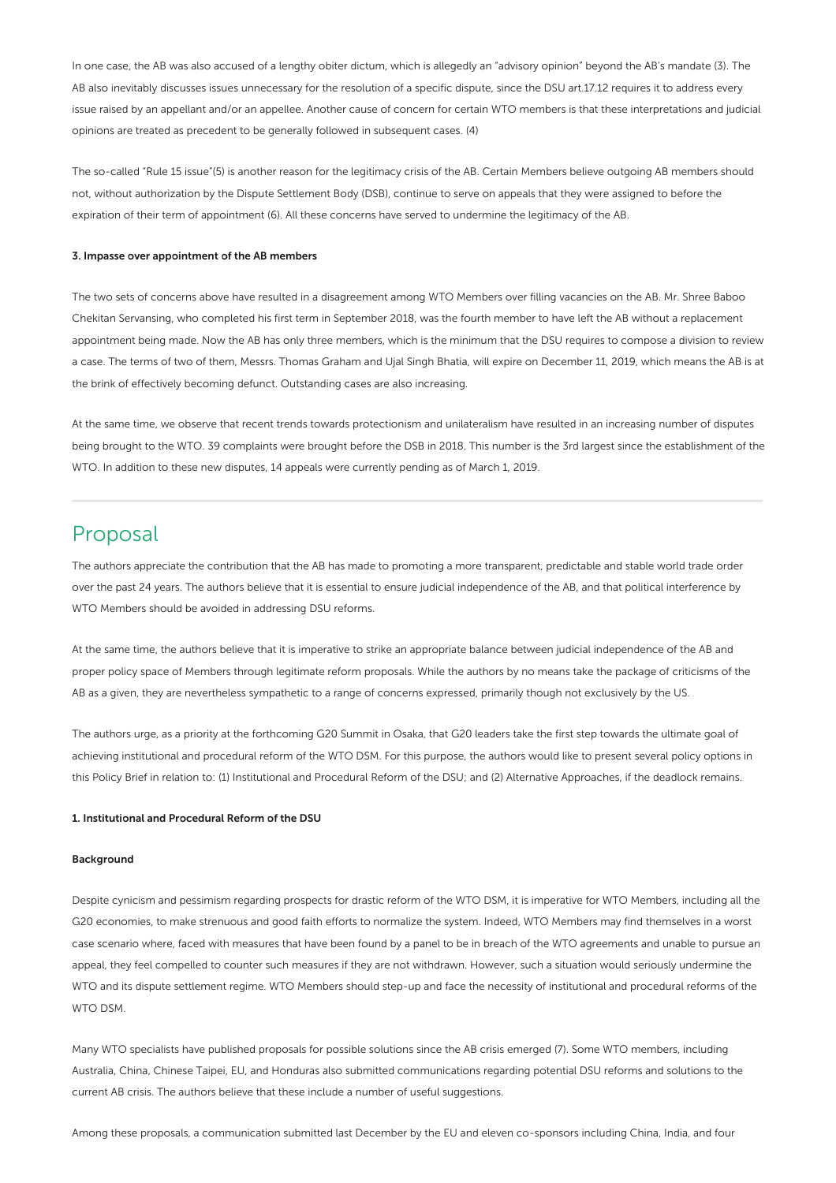In one case, the AB was also accused of a lengthy obiter dictum, which is allegedly an "advisory opinion" beyond the AB's mandate (3). The AB also inevitably discusses issues unnecessary for the resolution of a specific dispute, since the DSU art.17.12 requires it to address every issue raised by an appellant and/or an appellee. Another cause of concern for certain WTO members is that these interpretations and judicial opinions are treated as precedent to be generally followed in subsequent cases. (4)

The so-called "Rule 15 issue"(5) is another reason for the legitimacy crisis of the AB. Certain Members believe outgoing AB members should not, without authorization by the Dispute Settlement Body (DSB), continue to serve on appeals that they were assigned to before the expiration of their term of appointment (6). All these concerns have served to undermine the legitimacy of the AB.

#### 3. Impasse over appointment of the AB members

The two sets of concerns above have resulted in a disagreement among WTO Members over filling vacancies on the AB. Mr. Shree Baboo Chekitan Servansing, who completed his first term in September 2018, was the fourth member to have left the AB without a replacement appointment being made. Now the AB has only three members, which is the minimum that the DSU requires to compose a division to review a case. The terms of two of them, Messrs. Thomas Graham and Ujal Singh Bhatia, will expire on December 11, 2019, which means the AB is at the brink of effectively becoming defunct. Outstanding cases are also increasing.

At the same time, we observe that recent trends towards protectionism and unilateralism have resulted in an increasing number of disputes being brought to the WTO. 39 complaints were brought before the DSB in 2018. This number is the 3rd largest since the establishment of the WTO. In addition to these new disputes, 14 appeals were currently pending as of March 1, 2019.

### Proposal

The authors appreciate the contribution that the AB has made to promoting a more transparent, predictable and stable world trade order over the past 24 years. The authors believe that it is essential to ensure judicial independence of the AB, and that political interference by WTO Members should be avoided in addressing DSU reforms.

At the same time, the authors believe that it is imperative to strike an appropriate balance between judicial independence of the AB and proper policy space of Members through legitimate reform proposals. While the authors by no means take the package of criticisms of the AB as a given, they are nevertheless sympathetic to a range of concerns expressed, primarily though not exclusively by the US.

The authors urge, as a priority at the forthcoming G20 Summit in Osaka, that G20 leaders take the first step towards the ultimate goal of achieving institutional and procedural reform of the WTO DSM. For this purpose, the authors would like to present several policy options in this Policy Brief in relation to: (1) Institutional and Procedural Reform of the DSU; and (2) Alternative Approaches, if the deadlock remains.

#### 1. Institutional and Procedural Reform of the DSU

#### Background

Despite cynicism and pessimism regarding prospects for drastic reform of the WTO DSM, it is imperative for WTO Members, including all the G20 economies, to make strenuous and good faith efforts to normalize the system. Indeed, WTO Members may find themselves in a worst case scenario where, faced with measures that have been found by a panel to be in breach of the WTO agreements and unable to pursue an appeal, they feel compelled to counter such measures if they are not withdrawn. However, such a situation would seriously undermine the WTO and its dispute settlement regime. WTO Members should step-up and face the necessity of institutional and procedural reforms of the WTO DSM.

Many WTO specialists have published proposals for possible solutions since the AB crisis emerged (7). Some WTO members, including Australia, China, Chinese Taipei, EU, and Honduras also submitted communications regarding potential DSU reforms and solutions to the current AB crisis. The authors believe that these include a number of useful suggestions.

Among these proposals, a communication submitted last December by the EU and eleven co-sponsors including China, India, and four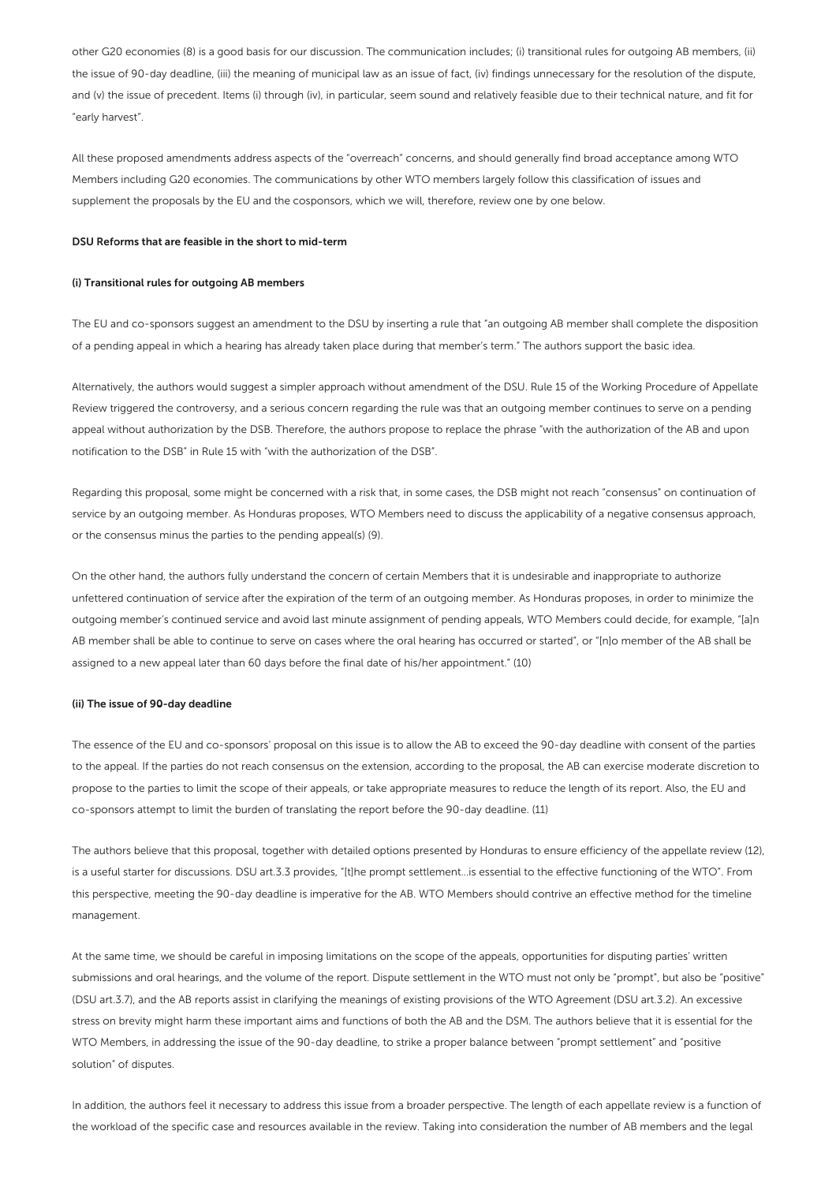other G20 economies (8) is a good basis for our discussion. The communication includes; (i) transitional rules for outgoing AB members, (ii) the issue of 90-day deadline, (iii) the meaning of municipal law as an issue of fact, (iv) findings unnecessary for the resolution of the dispute, and (v) the issue of precedent. Items (i) through (iv), in particular, seem sound and relatively feasible due to their technical nature, and fit for "early harvest".

All these proposed amendments address aspects of the "overreach" concerns, and should generally find broad acceptance among WTO Members including G20 economies. The communications by other WTO members largely follow this classification of issues and supplement the proposals by the EU and the cosponsors, which we will, therefore, review one by one below.

#### DSU Reforms that are feasible in the short to mid-term

#### (i) Transitional rules for outgoing AB members

The EU and co-sponsors suggest an amendment to the DSU by inserting a rule that "an outgoing AB member shall complete the disposition of a pending appeal in which a hearing has already taken place during that member's term." The authors support the basic idea.

Alternatively, the authors would suggest a simpler approach without amendment of the DSU. Rule 15 of the Working Procedure of Appellate Review triggered the controversy, and a serious concern regarding the rule was that an outgoing member continues to serve on a pending appeal without authorization by the DSB. Therefore, the authors propose to replace the phrase "with the authorization of the AB and upon notification to the DSB" in Rule 15 with "with the authorization of the DSB".

Regarding this proposal, some might be concerned with a risk that, in some cases, the DSB might not reach "consensus" on continuation of service by an outgoing member. As Honduras proposes, WTO Members need to discuss the applicability of a negative consensus approach, or the consensus minus the parties to the pending appeal(s) (9).

On the other hand, the authors fully understand the concern of certain Members that it is undesirable and inappropriate to authorize unfettered continuation of service after the expiration of the term of an outgoing member. As Honduras proposes, in order to minimize the outgoing member's continued service and avoid last minute assignment of pending appeals, WTO Members could decide, for example, "[a]n AB member shall be able to continue to serve on cases where the oral hearing has occurred or started", or "[n]o member of the AB shall be assigned to a new appeal later than 60 days before the final date of his/her appointment." (10)

#### (ii) The issue of 90-day deadline

The essence of the EU and co-sponsors' proposal on this issue is to allow the AB to exceed the 90-day deadline with consent of the parties to the appeal. If the parties do not reach consensus on the extension, according to the proposal, the AB can exercise moderate discretion to propose to the parties to limit the scope of their appeals, or take appropriate measures to reduce the length of its report. Also, the EU and co-sponsors attempt to limit the burden of translating the report before the 90-day deadline. (11)

The authors believe that this proposal, together with detailed options presented by Honduras to ensure efficiency of the appellate review (12), is a useful starter for discussions. DSU art.3.3 provides, "[t]he prompt settlement…is essential to the effective functioning of the WTO". From this perspective, meeting the 90-day deadline is imperative for the AB. WTO Members should contrive an effective method for the timeline management.

At the same time, we should be careful in imposing limitations on the scope of the appeals, opportunities for disputing parties' written submissions and oral hearings, and the volume of the report. Dispute settlement in the WTO must not only be "prompt", but also be "positive" (DSU art.3.7), and the AB reports assist in clarifying the meanings of existing provisions of the WTO Agreement (DSU art.3.2). An excessive stress on brevity might harm these important aims and functions of both the AB and the DSM. The authors believe that it is essential for the WTO Members, in addressing the issue of the 90-day deadline, to strike a proper balance between "prompt settlement" and "positive solution" of disputes.

In addition, the authors feel it necessary to address this issue from a broader perspective. The length of each appellate review is a function of the workload of the specific case and resources available in the review. Taking into consideration the number of AB members and the legal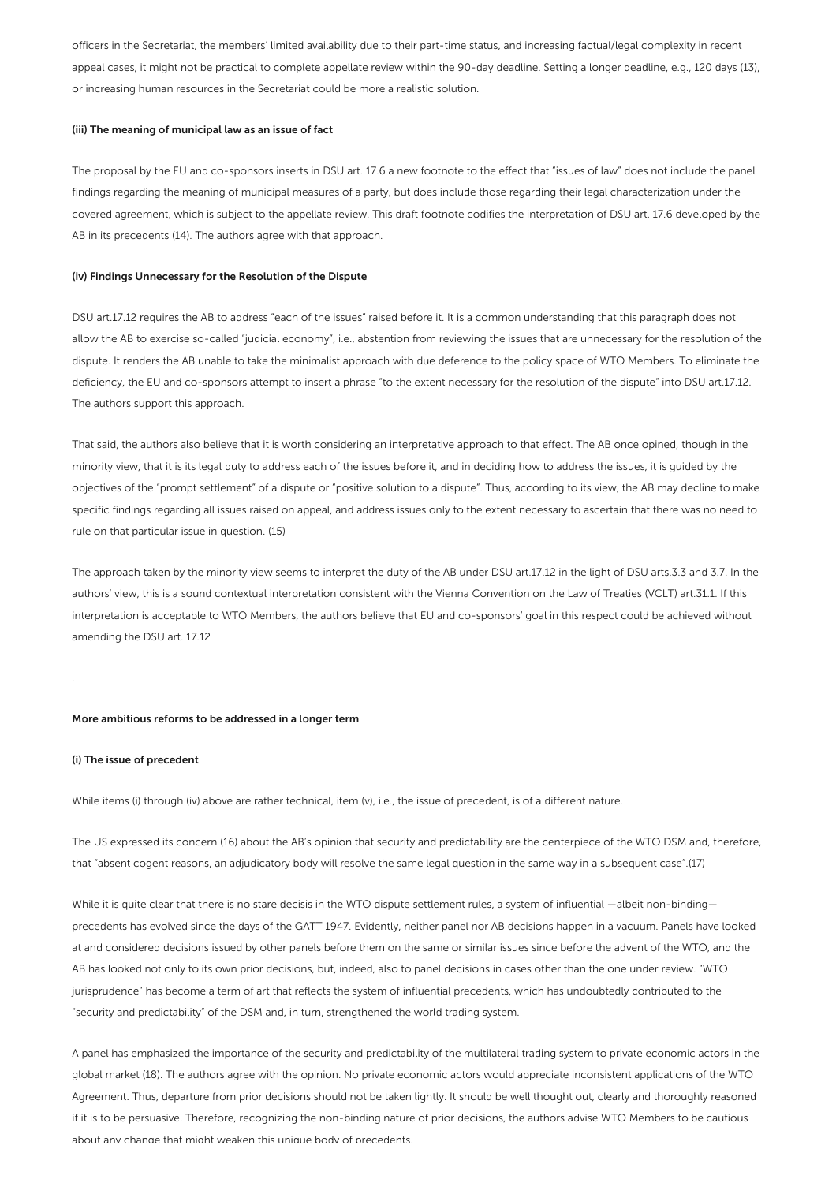officers in the Secretariat, the members' limited availability due to their part-time status, and increasing factual/legal complexity in recent appeal cases, it might not be practical to complete appellate review within the 90-day deadline. Setting a longer deadline, e.g., 120 days (13), or increasing human resources in the Secretariat could be more a realistic solution.

#### (iii) The meaning of municipal law as an issue of fact

The proposal by the EU and co-sponsors inserts in DSU art. 17.6 a new footnote to the effect that "issues of law" does not include the panel findings regarding the meaning of municipal measures of a party, but does include those regarding their legal characterization under the covered agreement, which is subject to the appellate review. This draft footnote codifies the interpretation of DSU art. 17.6 developed by the AB in its precedents (14). The authors agree with that approach.

#### (iv) Findings Unnecessary for the Resolution of the Dispute

DSU art.17.12 requires the AB to address "each of the issues" raised before it. It is a common understanding that this paragraph does not allow the AB to exercise so-called "judicial economy", i.e., abstention from reviewing the issues that are unnecessary for the resolution of the dispute. It renders the AB unable to take the minimalist approach with due deference to the policy space of WTO Members. To eliminate the deficiency, the EU and co-sponsors attempt to insert a phrase "to the extent necessary for the resolution of the dispute" into DSU art.17.12. The authors support this approach.

That said, the authors also believe that it is worth considering an interpretative approach to that effect. The AB once opined, though in the minority view, that it is its legal duty to address each of the issues before it, and in deciding how to address the issues, it is guided by the objectives of the "prompt settlement" of a dispute or "positive solution to a dispute". Thus, according to its view, the AB may decline to make specific findings regarding all issues raised on appeal, and address issues only to the extent necessary to ascertain that there was no need to rule on that particular issue in question. (15)

The approach taken by the minority view seems to interpret the duty of the AB under DSU art.17.12 in the light of DSU arts.3.3 and 3.7. In the authors' view, this is a sound contextual interpretation consistent with the Vienna Convention on the Law of Treaties (VCLT) art.31.1. If this interpretation is acceptable to WTO Members, the authors believe that EU and co-sponsors' goal in this respect could be achieved without amending the DSU art. 17.12

#### More ambitious reforms to be addressed in a longer term

#### (i) The issue of precedent

.

While items (i) through (iv) above are rather technical, item (v), i.e., the issue of precedent, is of a different nature.

The US expressed its concern (16) about the AB's opinion that security and predictability are the centerpiece of the WTO DSM and, therefore, that "absent cogent reasons, an adjudicatory body will resolve the same legal question in the same way in a subsequent case".(17)

While it is quite clear that there is no stare decisis in the WTO dispute settlement rules, a system of influential —albeit non-binding precedents has evolved since the days of the GATT 1947. Evidently, neither panel nor AB decisions happen in a vacuum. Panels have looked at and considered decisions issued by other panels before them on the same or similar issues since before the advent of the WTO, and the AB has looked not only to its own prior decisions, but, indeed, also to panel decisions in cases other than the one under review. "WTO jurisprudence" has become a term of art that reflects the system of influential precedents, which has undoubtedly contributed to the "security and predictability" of the DSM and, in turn, strengthened the world trading system.

A panel has emphasized the importance of the security and predictability of the multilateral trading system to private economic actors in the global market (18). The authors agree with the opinion. No private economic actors would appreciate inconsistent applications of the WTO Agreement. Thus, departure from prior decisions should not be taken lightly. It should be well thought out, clearly and thoroughly reasoned if it is to be persuasive. Therefore, recognizing the non-binding nature of prior decisions, the authors advise WTO Members to be cautious about any change that might weaken this unique body of precedents.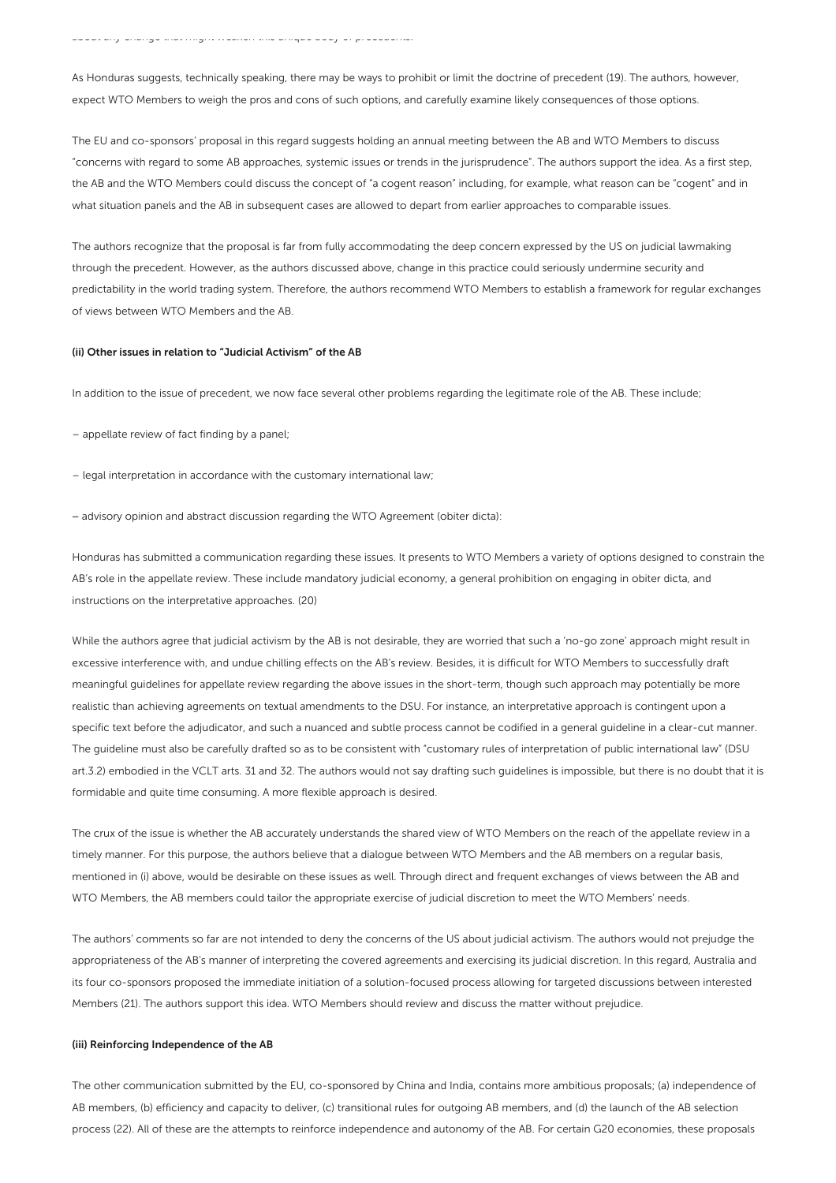As Honduras suggests, technically speaking, there may be ways to prohibit or limit the doctrine of precedent (19). The authors, however, expect WTO Members to weigh the pros and cons of such options, and carefully examine likely consequences of those options.

The EU and co-sponsors' proposal in this regard suggests holding an annual meeting between the AB and WTO Members to discuss "concerns with regard to some AB approaches, systemic issues or trends in the jurisprudence". The authors support the idea. As a first step, the AB and the WTO Members could discuss the concept of "a cogent reason" including, for example, what reason can be "cogent" and in what situation panels and the AB in subsequent cases are allowed to depart from earlier approaches to comparable issues.

The authors recognize that the proposal is far from fully accommodating the deep concern expressed by the US on judicial lawmaking through the precedent. However, as the authors discussed above, change in this practice could seriously undermine security and predictability in the world trading system. Therefore, the authors recommend WTO Members to establish a framework for regular exchanges of views between WTO Members and the AB.

#### (ii) Other issues in relation to "Judicial Activism" of the AB

In addition to the issue of precedent, we now face several other problems regarding the legitimate role of the AB. These include;

- appellate review of fact finding by a panel;
- legal interpretation in accordance with the customary international law;
- ‒ advisory opinion and abstract discussion regarding the WTO Agreement (obiter dicta):

Honduras has submitted a communication regarding these issues. It presents to WTO Members a variety of options designed to constrain the AB's role in the appellate review. These include mandatory judicial economy, a general prohibition on engaging in obiter dicta, and instructions on the interpretative approaches. (20)

While the authors agree that judicial activism by the AB is not desirable, they are worried that such a 'no-go zone' approach might result in excessive interference with, and undue chilling effects on the AB's review. Besides, it is difficult for WTO Members to successfully draft meaningful guidelines for appellate review regarding the above issues in the short-term, though such approach may potentially be more realistic than achieving agreements on textual amendments to the DSU. For instance, an interpretative approach is contingent upon a specific text before the adjudicator, and such a nuanced and subtle process cannot be codified in a general guideline in a clear-cut manner. The guideline must also be carefully drafted so as to be consistent with "customary rules of interpretation of public international law" (DSU art.3.2) embodied in the VCLT arts. 31 and 32. The authors would not say drafting such guidelines is impossible, but there is no doubt that it is formidable and quite time consuming. A more flexible approach is desired.

The crux of the issue is whether the AB accurately understands the shared view of WTO Members on the reach of the appellate review in a timely manner. For this purpose, the authors believe that a dialogue between WTO Members and the AB members on a regular basis, mentioned in (i) above, would be desirable on these issues as well. Through direct and frequent exchanges of views between the AB and WTO Members, the AB members could tailor the appropriate exercise of judicial discretion to meet the WTO Members' needs.

The authors' comments so far are not intended to deny the concerns of the US about judicial activism. The authors would not prejudge the appropriateness of the AB's manner of interpreting the covered agreements and exercising its judicial discretion. In this regard, Australia and its four co-sponsors proposed the immediate initiation of a solution-focused process allowing for targeted discussions between interested Members (21). The authors support this idea. WTO Members should review and discuss the matter without prejudice.

#### (iii) Reinforcing Independence of the AB

The other communication submitted by the EU, co-sponsored by China and India, contains more ambitious proposals; (a) independence of AB members, (b) efficiency and capacity to deliver, (c) transitional rules for outgoing AB members, and (d) the launch of the AB selection process (22). All of these are the attempts to reinforce independence and autonomy of the AB. For certain G20 economies, these proposals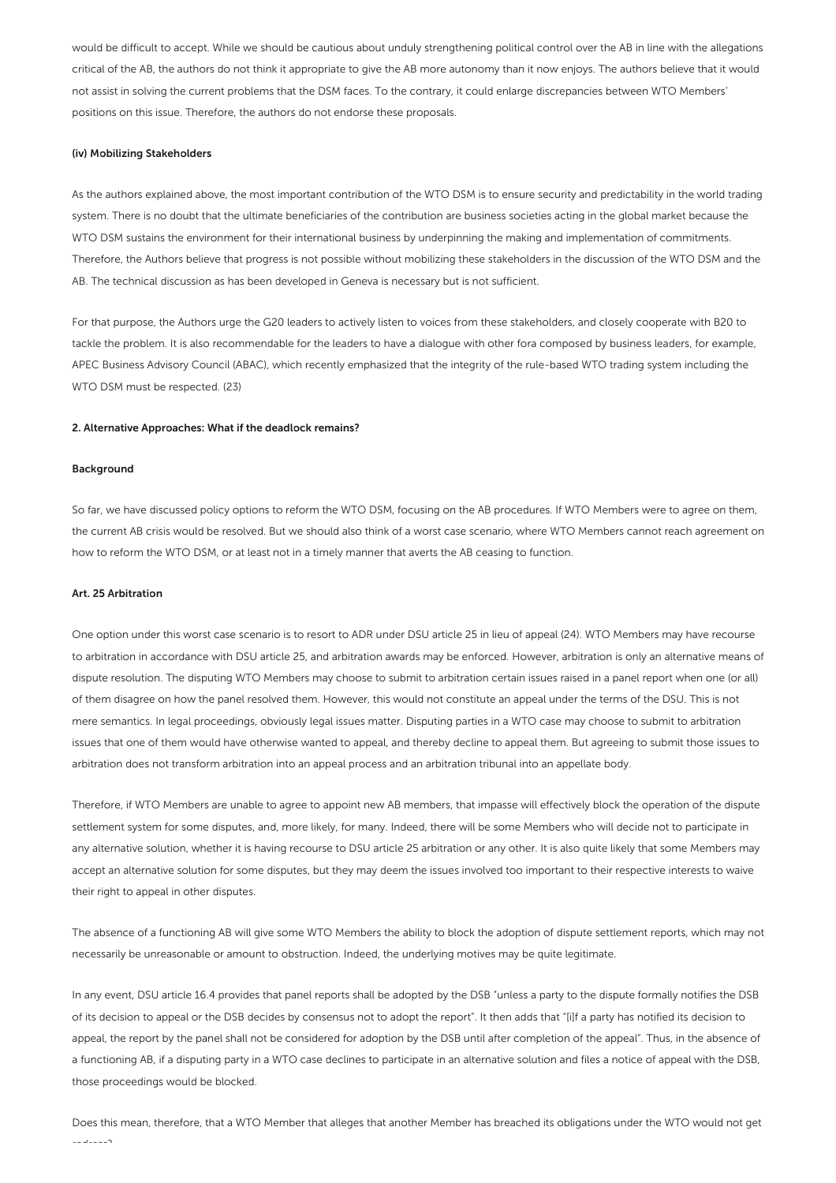would be difficult to accept. While we should be cautious about unduly strengthening political control over the AB in line with the allegations critical of the AB, the authors do not think it appropriate to give the AB more autonomy than it now enjoys. The authors believe that it would not assist in solving the current problems that the DSM faces. To the contrary, it could enlarge discrepancies between WTO Members' positions on this issue. Therefore, the authors do not endorse these proposals.

#### (iv) Mobilizing Stakeholders

As the authors explained above, the most important contribution of the WTO DSM is to ensure security and predictability in the world trading system. There is no doubt that the ultimate beneficiaries of the contribution are business societies acting in the global market because the WTO DSM sustains the environment for their international business by underpinning the making and implementation of commitments. Therefore, the Authors believe that progress is not possible without mobilizing these stakeholders in the discussion of the WTO DSM and the AB. The technical discussion as has been developed in Geneva is necessary but is not sufficient.

For that purpose, the Authors urge the G20 leaders to actively listen to voices from these stakeholders, and closely cooperate with B20 to tackle the problem. It is also recommendable for the leaders to have a dialogue with other fora composed by business leaders, for example, APEC Business Advisory Council (ABAC), which recently emphasized that the integrity of the rule-based WTO trading system including the WTO DSM must be respected. (23)

#### 2. Alternative Approaches: What if the deadlock remains?

#### Background

So far, we have discussed policy options to reform the WTO DSM, focusing on the AB procedures. If WTO Members were to agree on them, the current AB crisis would be resolved. But we should also think of a worst case scenario, where WTO Members cannot reach agreement on how to reform the WTO DSM, or at least not in a timely manner that averts the AB ceasing to function.

#### Art. 25 Arbitration

One option under this worst case scenario is to resort to ADR under DSU article 25 in lieu of appeal (24). WTO Members may have recourse to arbitration in accordance with DSU article 25, and arbitration awards may be enforced. However, arbitration is only an alternative means of dispute resolution. The disputing WTO Members may choose to submit to arbitration certain issues raised in a panel report when one (or all) of them disagree on how the panel resolved them. However, this would not constitute an appeal under the terms of the DSU. This is not mere semantics. In legal proceedings, obviously legal issues matter. Disputing parties in a WTO case may choose to submit to arbitration issues that one of them would have otherwise wanted to appeal, and thereby decline to appeal them. But agreeing to submit those issues to arbitration does not transform arbitration into an appeal process and an arbitration tribunal into an appellate body.

Therefore, if WTO Members are unable to agree to appoint new AB members, that impasse will effectively block the operation of the dispute settlement system for some disputes, and, more likely, for many. Indeed, there will be some Members who will decide not to participate in any alternative solution, whether it is having recourse to DSU article 25 arbitration or any other. It is also quite likely that some Members may accept an alternative solution for some disputes, but they may deem the issues involved too important to their respective interests to waive their right to appeal in other disputes.

The absence of a functioning AB will give some WTO Members the ability to block the adoption of dispute settlement reports, which may not necessarily be unreasonable or amount to obstruction. Indeed, the underlying motives may be quite legitimate.

In any event, DSU article 16.4 provides that panel reports shall be adopted by the DSB "unless a party to the dispute formally notifies the DSB of its decision to appeal or the DSB decides by consensus not to adopt the report". It then adds that "[i]f a party has notified its decision to appeal, the report by the panel shall not be considered for adoption by the DSB until after completion of the appeal". Thus, in the absence of a functioning AB, if a disputing party in a WTO case declines to participate in an alternative solution and files a notice of appeal with the DSB, those proceedings would be blocked.

Does this mean, therefore, that a WTO Member that alleges that another Member has breached its obligations under the WTO would not get redress?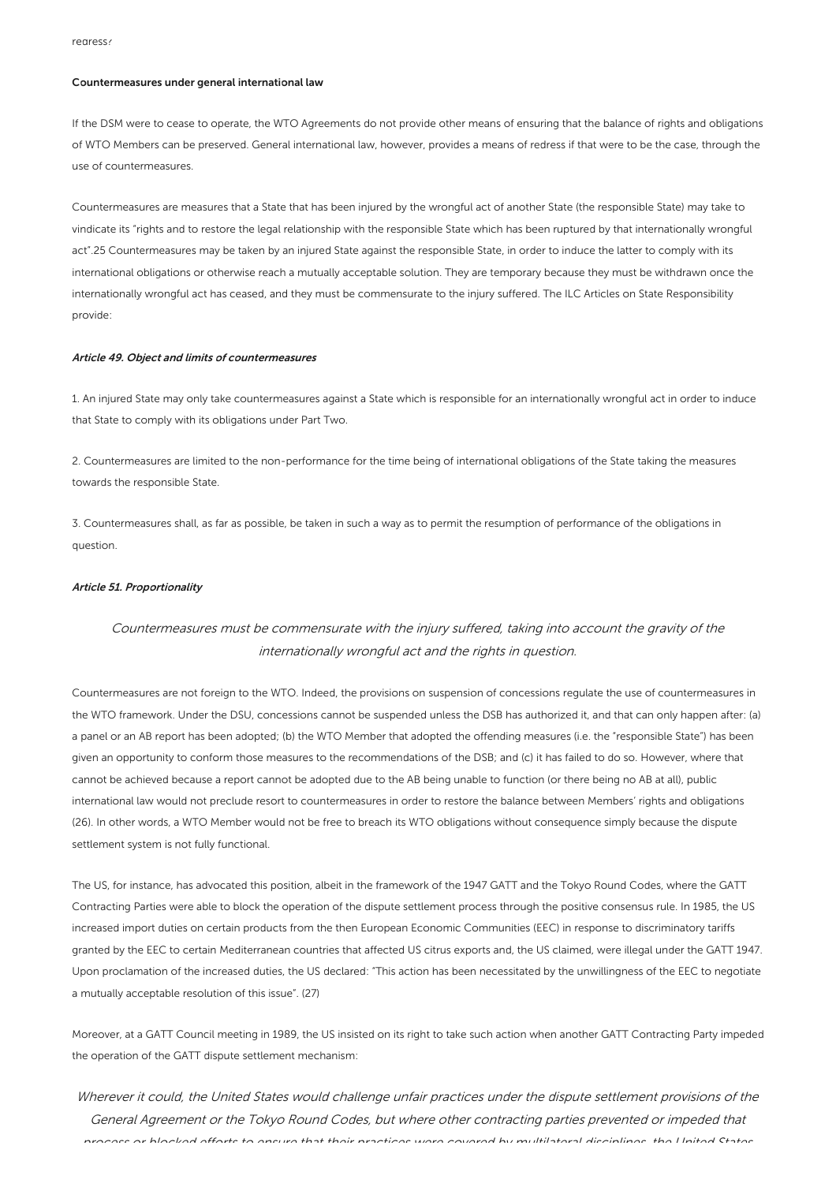#### Countermeasures under general international law

If the DSM were to cease to operate, the WTO Agreements do not provide other means of ensuring that the balance of rights and obligations of WTO Members can be preserved. General international law, however, provides a means of redress if that were to be the case, through the use of countermeasures.

Countermeasures are measures that a State that has been injured by the wrongful act of another State (the responsible State) may take to vindicate its "rights and to restore the legal relationship with the responsible State which has been ruptured by that internationally wrongful act".25 Countermeasures may be taken by an injured State against the responsible State, in order to induce the latter to comply with its international obligations or otherwise reach a mutually acceptable solution. They are temporary because they must be withdrawn once the internationally wrongful act has ceased, and they must be commensurate to the injury suffered. The ILC Articles on State Responsibility provide:

#### Article 49. Object and limits of countermeasures

1. An injured State may only take countermeasures against a State which is responsible for an internationally wrongful act in order to induce that State to comply with its obligations under Part Two.

2. Countermeasures are limited to the non-performance for the time being of international obligations of the State taking the measures towards the responsible State.

3. Countermeasures shall, as far as possible, be taken in such a way as to permit the resumption of performance of the obligations in question.

#### Article 51. Proportionality

### Countermeasures must be commensurate with the injury suffered, taking into account the gravity of the internationally wrongful act and the rights in question.

Countermeasures are not foreign to the WTO. Indeed, the provisions on suspension of concessions regulate the use of countermeasures in the WTO framework. Under the DSU, concessions cannot be suspended unless the DSB has authorized it, and that can only happen after: (a) a panel or an AB report has been adopted; (b) the WTO Member that adopted the offending measures (i.e. the "responsible State") has been given an opportunity to conform those measures to the recommendations of the DSB; and (c) it has failed to do so. However, where that cannot be achieved because a report cannot be adopted due to the AB being unable to function (or there being no AB at all), public international law would not preclude resort to countermeasures in order to restore the balance between Members' rights and obligations (26). In other words, a WTO Member would not be free to breach its WTO obligations without consequence simply because the dispute settlement system is not fully functional.

The US, for instance, has advocated this position, albeit in the framework of the 1947 GATT and the Tokyo Round Codes, where the GATT Contracting Parties were able to block the operation of the dispute settlement process through the positive consensus rule. In 1985, the US increased import duties on certain products from the then European Economic Communities (EEC) in response to discriminatory tariffs granted by the EEC to certain Mediterranean countries that affected US citrus exports and, the US claimed, were illegal under the GATT 1947. Upon proclamation of the increased duties, the US declared: "This action has been necessitated by the unwillingness of the EEC to negotiate a mutually acceptable resolution of this issue". (27)

Moreover, at a GATT Council meeting in 1989, the US insisted on its right to take such action when another GATT Contracting Party impeded the operation of the GATT dispute settlement mechanism:

Wherever it could, the United States would challenge unfair practices under the dispute settlement provisions of the General Agreement or the Tokyo Round Codes, but where other contracting parties prevented or impeded that process or blocked efforts to ensure that their practices were covered by multilateral disciplines, the United States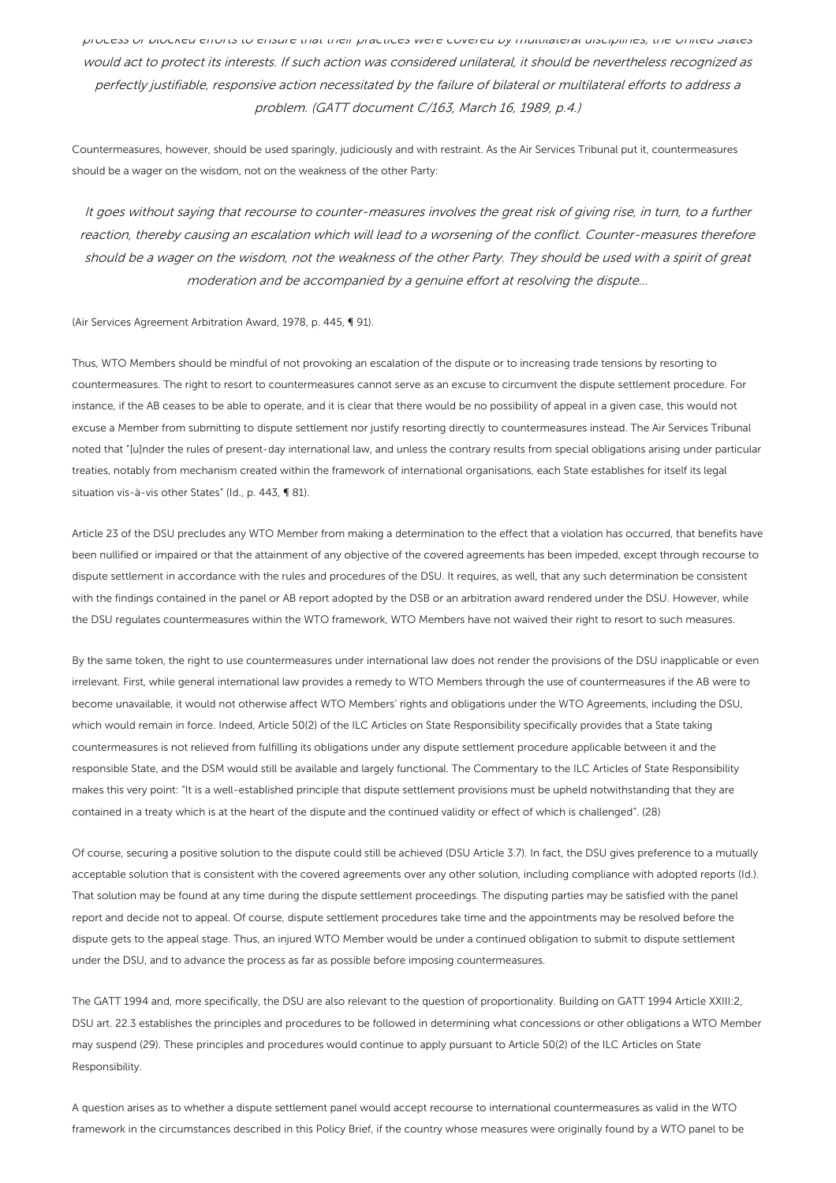process or blocked efforts to ensure that their practices were covered by multilateral disciplines, the United States would act to protect its interests. If such action was considered unilateral, it should be nevertheless recognized as perfectly justifiable, responsive action necessitated by the failure of bilateral or multilateral efforts to address <sup>a</sup> problem. (GATT document C/163, March 16, 1989, p.4.)

Countermeasures, however, should be used sparingly, judiciously and with restraint. As the Air Services Tribunal put it, countermeasures should be a wager on the wisdom, not on the weakness of the other Party:

It goes without saying that recourse to counter-measures involves the great risk of giving rise, in turn, to <sup>a</sup> further reaction, thereby causing an escalation which will lead to <sup>a</sup> worsening of the conflict. Counter-measures therefore should be <sup>a</sup> wager on the wisdom, not the weakness of the other Party. They should be used with <sup>a</sup> spirit of great moderation and be accompanied by <sup>a</sup> genuine effort at resolving the dispute…

(Air Services Agreement Arbitration Award, 1978, p. 445, ¶ 91).

Thus, WTO Members should be mindful of not provoking an escalation of the dispute or to increasing trade tensions by resorting to countermeasures. The right to resort to countermeasures cannot serve as an excuse to circumvent the dispute settlement procedure. For instance, if the AB ceases to be able to operate, and it is clear that there would be no possibility of appeal in a given case, this would not excuse a Member from submitting to dispute settlement nor justify resorting directly to countermeasures instead. The Air Services Tribunal noted that "[u]nder the rules of present-day international law, and unless the contrary results from special obligations arising under particular treaties, notably from mechanism created within the framework of international organisations, each State establishes for itself its legal situation vis-à-vis other States" (Id., p. 443, ¶ 81).

Article 23 of the DSU precludes any WTO Member from making a determination to the effect that a violation has occurred, that benefits have been nullified or impaired or that the attainment of any objective of the covered agreements has been impeded, except through recourse to dispute settlement in accordance with the rules and procedures of the DSU. It requires, as well, that any such determination be consistent with the findings contained in the panel or AB report adopted by the DSB or an arbitration award rendered under the DSU. However, while the DSU regulates countermeasures within the WTO framework, WTO Members have not waived their right to resort to such measures.

By the same token, the right to use countermeasures under international law does not render the provisions of the DSU inapplicable or even irrelevant. First, while general international law provides a remedy to WTO Members through the use of countermeasures if the AB were to become unavailable, it would not otherwise affect WTO Members' rights and obligations under the WTO Agreements, including the DSU, which would remain in force. Indeed, Article 50(2) of the ILC Articles on State Responsibility specifically provides that a State taking countermeasures is not relieved from fulfilling its obligations under any dispute settlement procedure applicable between it and the responsible State, and the DSM would still be available and largely functional. The Commentary to the ILC Articles of State Responsibility makes this very point: "It is a well-established principle that dispute settlement provisions must be upheld notwithstanding that they are contained in a treaty which is at the heart of the dispute and the continued validity or effect of which is challenged". (28)

Of course, securing a positive solution to the dispute could still be achieved (DSU Article 3.7). In fact, the DSU gives preference to a mutually acceptable solution that is consistent with the covered agreements over any other solution, including compliance with adopted reports (Id.). That solution may be found at any time during the dispute settlement proceedings. The disputing parties may be satisfied with the panel report and decide not to appeal. Of course, dispute settlement procedures take time and the appointments may be resolved before the dispute gets to the appeal stage. Thus, an injured WTO Member would be under a continued obligation to submit to dispute settlement under the DSU, and to advance the process as far as possible before imposing countermeasures.

The GATT 1994 and, more specifically, the DSU are also relevant to the question of proportionality. Building on GATT 1994 Article XXIII:2, DSU art. 22.3 establishes the principles and procedures to be followed in determining what concessions or other obligations a WTO Member may suspend (29). These principles and procedures would continue to apply pursuant to Article 50(2) of the ILC Articles on State Responsibility.

A question arises as to whether a dispute settlement panel would accept recourse to international countermeasures as valid in the WTO framework in the circumstances described in this Policy Brief, if the country whose measures were originally found by a WTO panel to be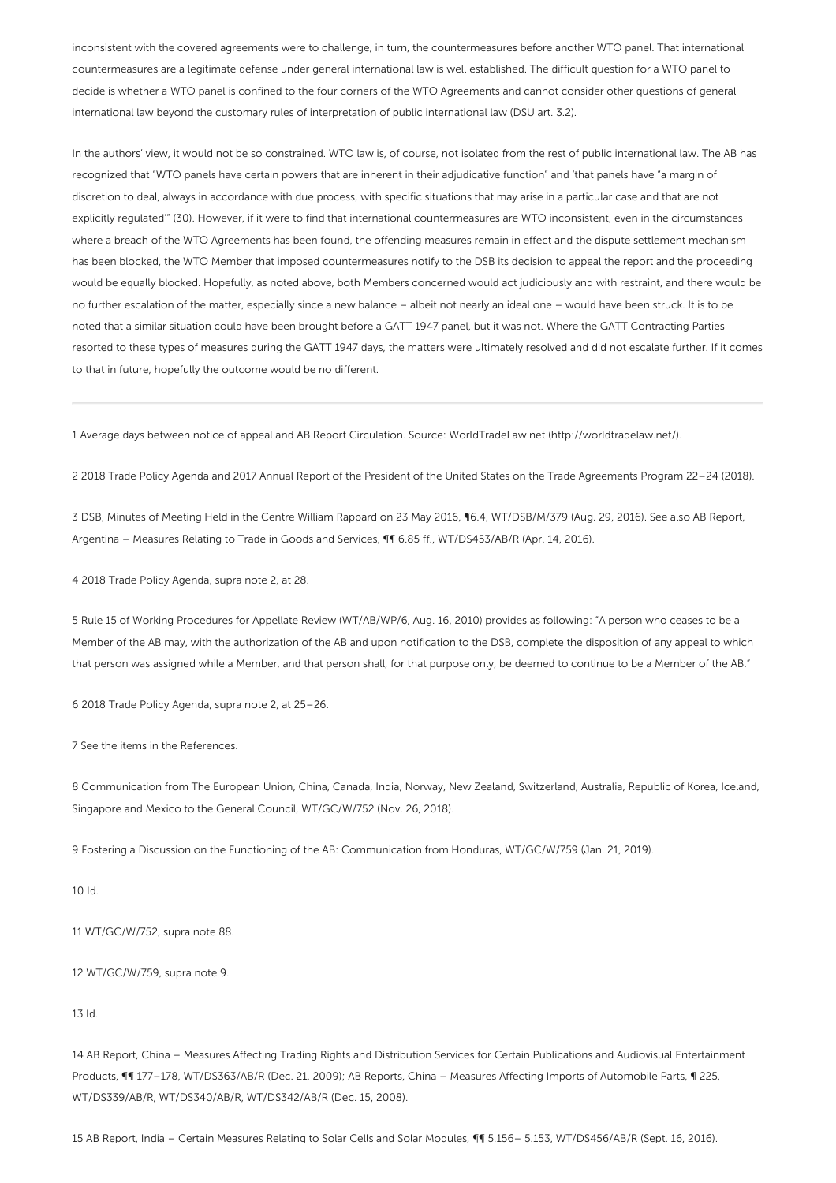inconsistent with the covered agreements were to challenge, in turn, the countermeasures before another WTO panel. That international countermeasures are a legitimate defense under general international law is well established. The difficult question for a WTO panel to decide is whether a WTO panel is confined to the four corners of the WTO Agreements and cannot consider other questions of general international law beyond the customary rules of interpretation of public international law (DSU art. 3.2).

In the authors' view, it would not be so constrained. WTO law is, of course, not isolated from the rest of public international law. The AB has recognized that "WTO panels have certain powers that are inherent in their adjudicative function" and 'that panels have "a margin of discretion to deal, always in accordance with due process, with specific situations that may arise in a particular case and that are not explicitly regulated'" (30). However, if it were to find that international countermeasures are WTO inconsistent, even in the circumstances where a breach of the WTO Agreements has been found, the offending measures remain in effect and the dispute settlement mechanism has been blocked, the WTO Member that imposed countermeasures notify to the DSB its decision to appeal the report and the proceeding would be equally blocked. Hopefully, as noted above, both Members concerned would act judiciously and with restraint, and there would be no further escalation of the matter, especially since a new balance – albeit not nearly an ideal one – would have been struck. It is to be noted that a similar situation could have been brought before a GATT 1947 panel, but it was not. Where the GATT Contracting Parties resorted to these types of measures during the GATT 1947 days, the matters were ultimately resolved and did not escalate further. If it comes to that in future, hopefully the outcome would be no different.

1 Average days between notice of appeal and AB Report Circulation. Source: WorldTradeLaw.net (http://worldtradelaw.net/).

2 2018 Trade Policy Agenda and 2017 Annual Report of the President of the United States on the Trade Agreements Program 22–24 (2018).

3 DSB, Minutes of Meeting Held in the Centre William Rappard on 23 May 2016, ¶6.4, WT/DSB/M/379 (Aug. 29, 2016). See also AB Report, Argentina – Measures Relating to Trade in Goods and Services, ¶¶ 6.85 ff., WT/DS453/AB/R (Apr. 14, 2016).

4 2018 Trade Policy Agenda, supra note 2, at 28.

5 Rule 15 of Working Procedures for Appellate Review (WT/AB/WP/6, Aug. 16, 2010) provides as following: "A person who ceases to be a Member of the AB may, with the authorization of the AB and upon notification to the DSB, complete the disposition of any appeal to which that person was assigned while a Member, and that person shall, for that purpose only, be deemed to continue to be a Member of the AB."

6 2018 Trade Policy Agenda, supra note 2, at 25–26.

7 See the items in the References.

8 Communication from The European Union, China, Canada, India, Norway, New Zealand, Switzerland, Australia, Republic of Korea, Iceland, Singapore and Mexico to the General Council, WT/GC/W/752 (Nov. 26, 2018).

9 Fostering a Discussion on the Functioning of the AB: Communication from Honduras, WT/GC/W/759 (Jan. 21, 2019).

10 Id.

11 WT/GC/W/752, supra note 88.

12 WT/GC/W/759, supra note 9.

13 Id.

14 AB Report, China – Measures Affecting Trading Rights and Distribution Services for Certain Publications and Audiovisual Entertainment Products, ¶¶ 177-178, WT/DS363/AB/R (Dec. 21, 2009); AB Reports, China - Measures Affecting Imports of Automobile Parts, ¶ 225, WT/DS339/AB/R, WT/DS340/AB/R, WT/DS342/AB/R (Dec. 15, 2008).

15 AB Report, India – Certain Measures Relating to Solar Cells and Solar Modules, ¶¶ 5.156– 5.153, WT/DS456/AB/R (Sept. 16, 2016).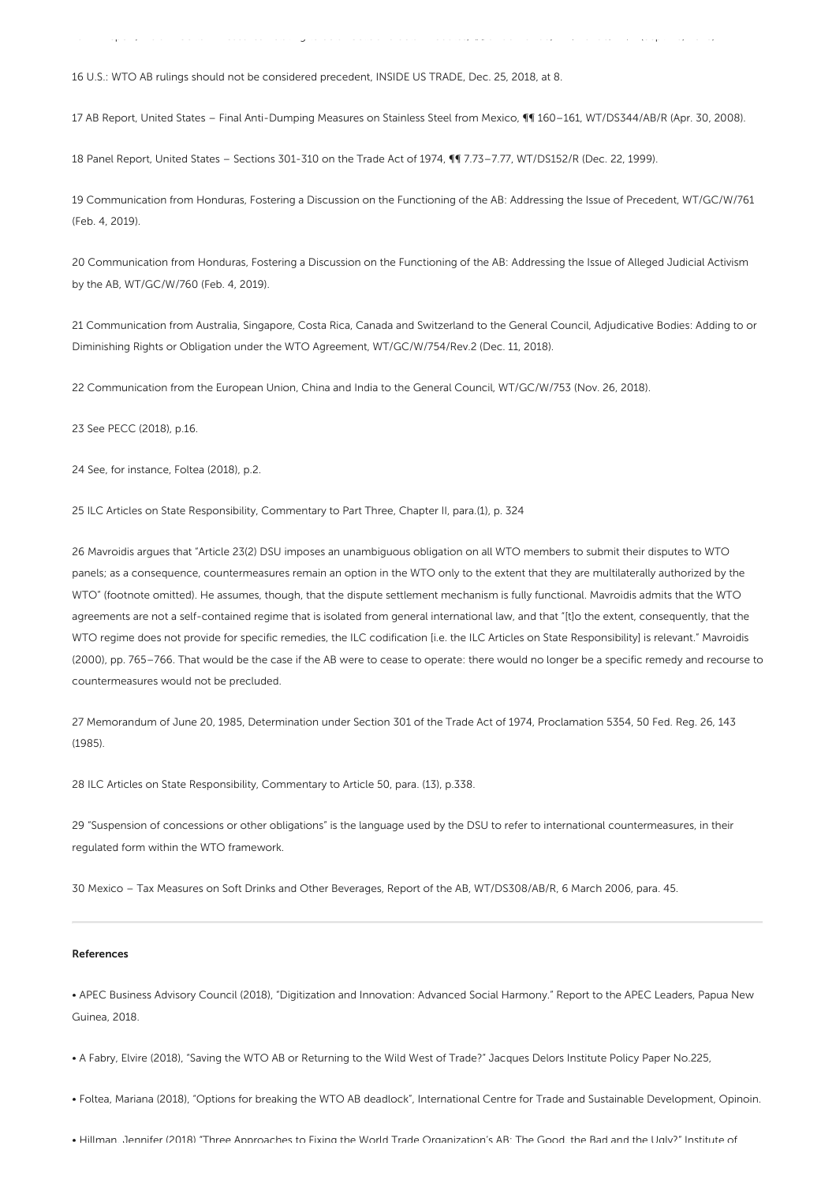16 U.S.: WTO AB rulings should not be considered precedent, INSIDE US TRADE, Dec. 25, 2018, at 8.

17 AB Report, United States – Final Anti-Dumping Measures on Stainless Steel from Mexico, ¶¶ 160–161, WT/DS344/AB/R (Apr. 30, 2008).

15 AB Report, India – Certain Measures Relating to Solar Cells and Solar Modules, ¶¶ 5.156– 5.153, WT/DS456/AB/R (Sept. 16, 2016).

18 Panel Report, United States – Sections 301-310 on the Trade Act of 1974, ¶¶ 7.73–7.77, WT/DS152/R (Dec. 22, 1999).

19 Communication from Honduras, Fostering a Discussion on the Functioning of the AB: Addressing the Issue of Precedent, WT/GC/W/761 (Feb. 4, 2019).

20 Communication from Honduras, Fostering a Discussion on the Functioning of the AB: Addressing the Issue of Alleged Judicial Activism by the AB, WT/GC/W/760 (Feb. 4, 2019).

21 Communication from Australia, Singapore, Costa Rica, Canada and Switzerland to the General Council, Adjudicative Bodies: Adding to or Diminishing Rights or Obligation under the WTO Agreement, WT/GC/W/754/Rev.2 (Dec. 11, 2018).

22 Communication from the European Union, China and India to the General Council, WT/GC/W/753 (Nov. 26, 2018).

23 See PECC (2018), p.16.

24 See, for instance, Foltea (2018), p.2.

25 ILC Articles on State Responsibility, Commentary to Part Three, Chapter II, para.(1), p. 324

26 Mavroidis argues that "Article 23(2) DSU imposes an unambiguous obligation on all WTO members to submit their disputes to WTO panels; as a consequence, countermeasures remain an option in the WTO only to the extent that they are multilaterally authorized by the WTO" (footnote omitted). He assumes, though, that the dispute settlement mechanism is fully functional. Mavroidis admits that the WTO agreements are not a self-contained regime that is isolated from general international law, and that "[t]o the extent, consequently, that the WTO regime does not provide for specific remedies, the ILC codification [i.e. the ILC Articles on State Responsibility] is relevant." Mavroidis (2000), pp. 765–766. That would be the case if the AB were to cease to operate: there would no longer be a specific remedy and recourse to countermeasures would not be precluded.

27 Memorandum of June 20, 1985, Determination under Section 301 of the Trade Act of 1974, Proclamation 5354, 50 Fed. Reg. 26, 143 (1985).

28 ILC Articles on State Responsibility, Commentary to Article 50, para. (13), p.338.

29 "Suspension of concessions or other obligations" is the language used by the DSU to refer to international countermeasures, in their regulated form within the WTO framework.

30 Mexico – Tax Measures on Soft Drinks and Other Beverages, Report of the AB, WT/DS308/AB/R, 6 March 2006, para. 45.

#### References

• APEC Business Advisory Council (2018), "Digitization and Innovation: Advanced Social Harmony." Report to the APEC Leaders, Papua New Guinea, 2018.

• A Fabry, Elvire (2018), "Saving the WTO AB or Returning to the Wild West of Trade?" Jacques Delors Institute Policy Paper No.225,

• Foltea, Mariana (2018), "Options for breaking the WTO AB deadlock", International Centre for Trade and Sustainable Development, Opinoin.

• Hillman, Jennifer (2018) "Three Approaches to Fixing the World Trade Organization's AB: The Good, the Bad and the Ugly?" Institute of